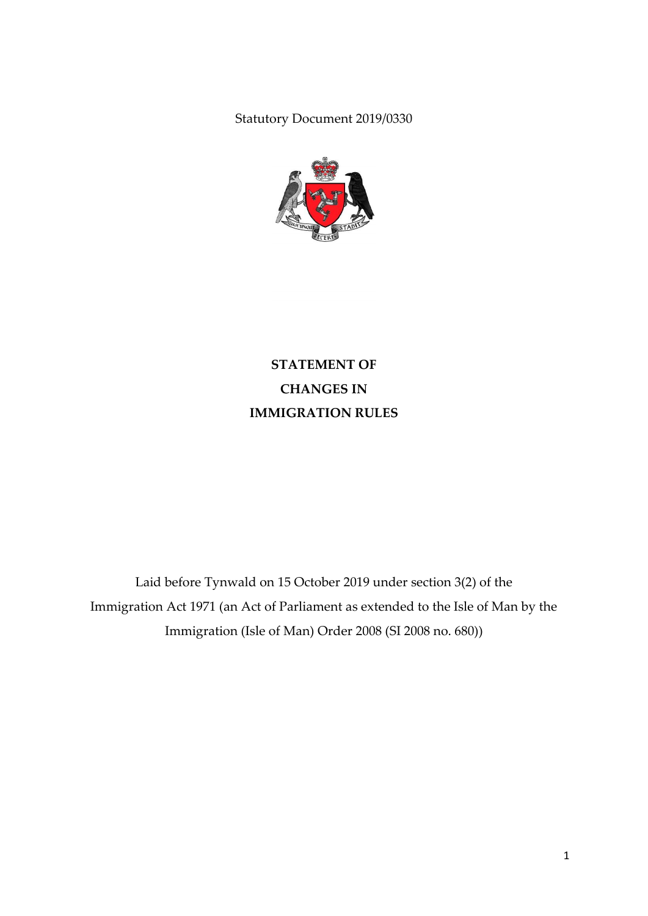Statutory Document 2019/0330



**STATEMENT OF CHANGES IN IMMIGRATION RULES**

Laid before Tynwald on 15 October 2019 under section 3(2) of the Immigration Act 1971 (an Act of Parliament as extended to the Isle of Man by the Immigration (Isle of Man) Order 2008 (SI 2008 no. 680))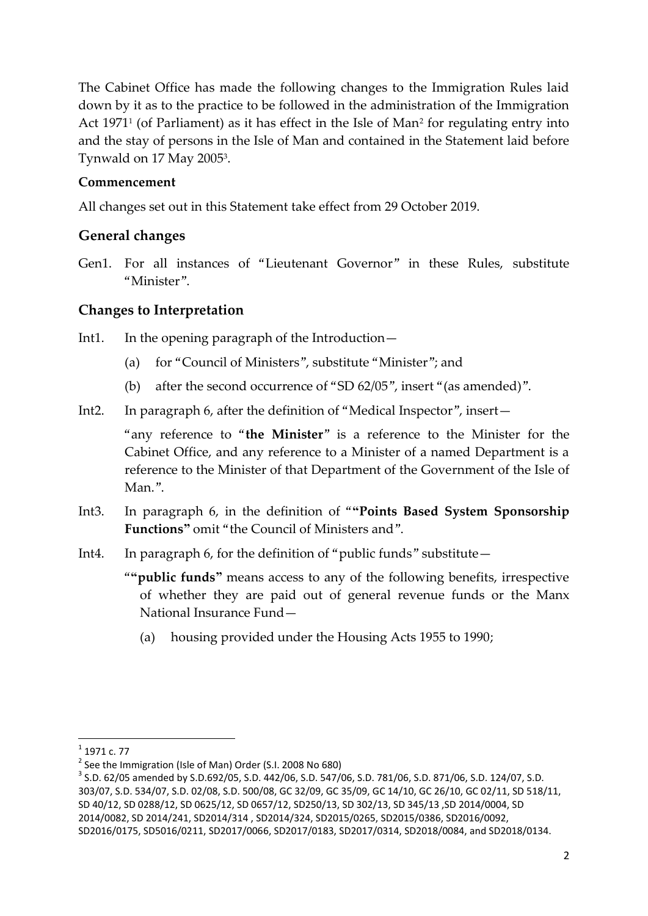The Cabinet Office has made the following changes to the Immigration Rules laid down by it as to the practice to be followed in the administration of the Immigration Act 1971<sup>1</sup> (of Parliament) as it has effect in the Isle of Man<sup>2</sup> for regulating entry into and the stay of persons in the Isle of Man and contained in the Statement laid before Tynwald on 17 May 2005<sup>3</sup>.

## **Commencement**

All changes set out in this Statement take effect from 29 October 2019.

## **General changes**

Gen1. For all instances of "Lieutenant Governor" in these Rules, substitute "Minister".

## **Changes to Interpretation**

- Int1. In the opening paragraph of the Introduction—
	- (a) for "Council of Ministers", substitute "Minister"; and
	- (b) after the second occurrence of "SD 62/05", insert "(as amended)".
- Int2. In paragraph 6, after the definition of "Medical Inspector", insert—

"any reference to "**the Minister**" is a reference to the Minister for the Cabinet Office, and any reference to a Minister of a named Department is a reference to the Minister of that Department of the Government of the Isle of Man.".

- Int3. In paragraph 6, in the definition of "**"Points Based System Sponsorship Functions"** omit "the Council of Ministers and".
- Int4. In paragraph 6, for the definition of "public funds" substitute—

"**"public funds"** means access to any of the following benefits, irrespective of whether they are paid out of general revenue funds or the Manx National Insurance Fund—

(a) housing provided under the Housing Acts 1955 to 1990;

<sup>1&</sup>lt;br><sup>1</sup> 1971 c. 77

<sup>&</sup>lt;sup>2</sup> See the Immigration (Isle of Man) Order (S.I. 2008 No 680)

<sup>3</sup> S.D. 62/05 amended by S.D.692/05, S.D. 442/06, S.D. 547/06, S.D. 781/06, S.D. 871/06, S.D. 124/07, S.D. 303/07, S.D. 534/07, S.D. 02/08, S.D. 500/08, GC 32/09, GC 35/09, GC 14/10, GC 26/10, GC 02/11, SD 518/11, SD 40/12, SD 0288/12, SD 0625/12, SD 0657/12, SD250/13, SD 302/13, SD 345/13 ,SD 2014/0004, SD 2014/0082, SD 2014/241, SD2014/314 , SD2014/324, SD2015/0265, SD2015/0386, SD2016/0092, SD2016/0175, SD5016/0211, SD2017/0066, SD2017/0183, SD2017/0314, SD2018/0084, and SD2018/0134.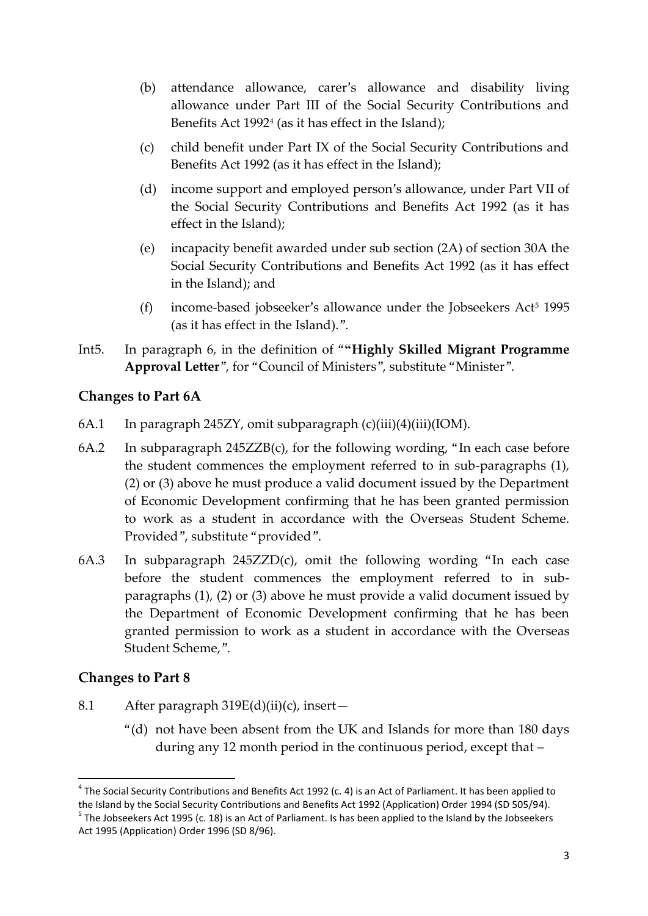- (b) attendance allowance, carer's allowance and disability living allowance under Part III of the Social Security Contributions and Benefits Act 1992<sup>4</sup> (as it has effect in the Island);
- (c) child benefit under Part IX of the Social Security Contributions and Benefits Act 1992 (as it has effect in the Island);
- (d) income support and employed person's allowance, under Part VII of the Social Security Contributions and Benefits Act 1992 (as it has effect in the Island);
- (e) incapacity benefit awarded under sub section (2A) of section 30A the Social Security Contributions and Benefits Act 1992 (as it has effect in the Island); and
- (f) income-based jobseeker's allowance under the Jobseekers  $Act<sup>5</sup> 1995$ (as it has effect in the Island).".
- Int5. In paragraph 6, in the definition of "**"Highly Skilled Migrant Programme Approval Letter**", for "Council of Ministers", substitute "Minister".

# **Changes to Part 6A**

- 6A.1 In paragraph 245ZY, omit subparagraph  $(c)(iii)(4)(iii)(IOM)$ .
- 6A.2 In subparagraph 245ZZB(c), for the following wording, "In each case before the student commences the employment referred to in sub-paragraphs (1), (2) or (3) above he must produce a valid document issued by the Department of Economic Development confirming that he has been granted permission to work as a student in accordance with the Overseas Student Scheme. Provided", substitute "provided".
- 6A.3 In subparagraph 245ZZD(c), omit the following wording "In each case before the student commences the employment referred to in subparagraphs (1), (2) or (3) above he must provide a valid document issued by the Department of Economic Development confirming that he has been granted permission to work as a student in accordance with the Overseas Student Scheme,".

### **Changes to Part 8**

**.** 

- 8.1 After paragraph 319E(d)(ii)(c), insert-
	- "(d) not have been absent from the UK and Islands for more than 180 days during any 12 month period in the continuous period, except that –

 $^4$  The Social Security Contributions and Benefits Act 1992 (c. 4) is an Act of Parliament. It has been applied to the Island by the Social Security Contributions and Benefits Act 1992 (Application) Order 1994 (SD 505/94). <sup>5</sup> The Jobseekers Act 1995 (c. 18) is an Act of Parliament. Is has been applied to the Island by the Jobseekers Act 1995 (Application) Order 1996 (SD 8/96).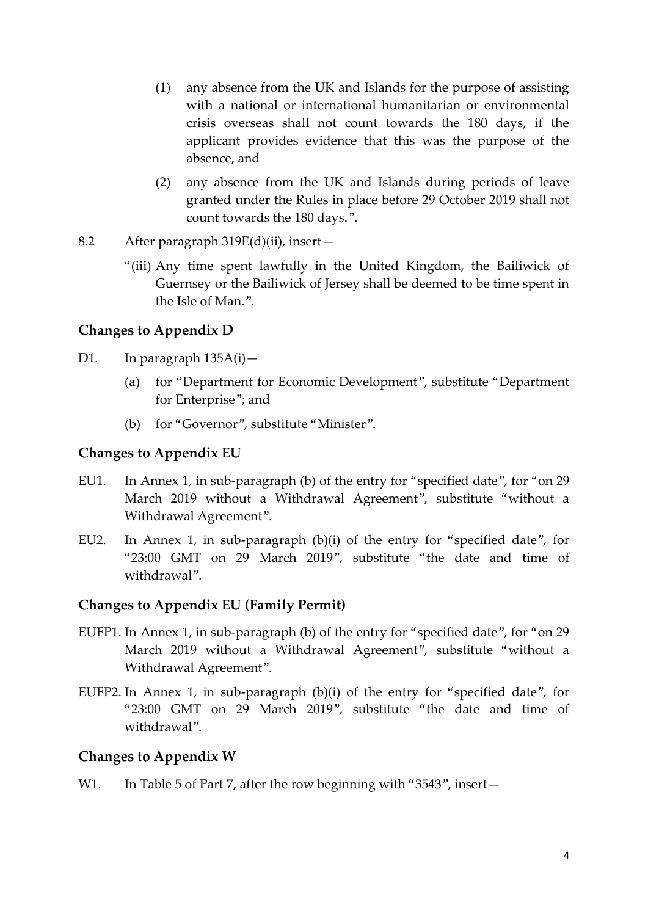- (1) any absence from the UK and Islands for the purpose of assisting with a national or international humanitarian or environmental crisis overseas shall not count towards the 180 days, if the applicant provides evidence that this was the purpose of the absence, and
- (2) any absence from the UK and Islands during periods of leave granted under the Rules in place before 29 October 2019 shall not count towards the 180 days.".
- 8.2 After paragraph 319E(d)(ii), insert—
	- "(iii) Any time spent lawfully in the United Kingdom, the Bailiwick of Guernsey or the Bailiwick of Jersey shall be deemed to be time spent in the Isle of Man.".

### **Changes to Appendix D**

- D1. In paragraph 135A(i)—
	- (a) for "Department for Economic Development", substitute "Department for Enterprise"; and
	- (b) for "Governor", substitute "Minister".

## **Changes to Appendix EU**

- EU1. In Annex 1, in sub-paragraph (b) of the entry for "specified date", for "on 29 March 2019 without a Withdrawal Agreement", substitute "without a Withdrawal Agreement".
- EU2. In Annex 1, in sub-paragraph (b)(i) of the entry for "specified date", for "23:00 GMT on 29 March 2019", substitute "the date and time of withdrawal".

### **Changes to Appendix EU (Family Permit)**

- EUFP1. In Annex 1, in sub-paragraph (b) of the entry for "specified date", for "on 29 March 2019 without a Withdrawal Agreement", substitute "without a Withdrawal Agreement".
- EUFP2. In Annex 1, in sub-paragraph (b)(i) of the entry for "specified date", for "23:00 GMT on 29 March 2019", substitute "the date and time of withdrawal".

### **Changes to Appendix W**

W1. In Table 5 of Part 7, after the row beginning with "3543", insert—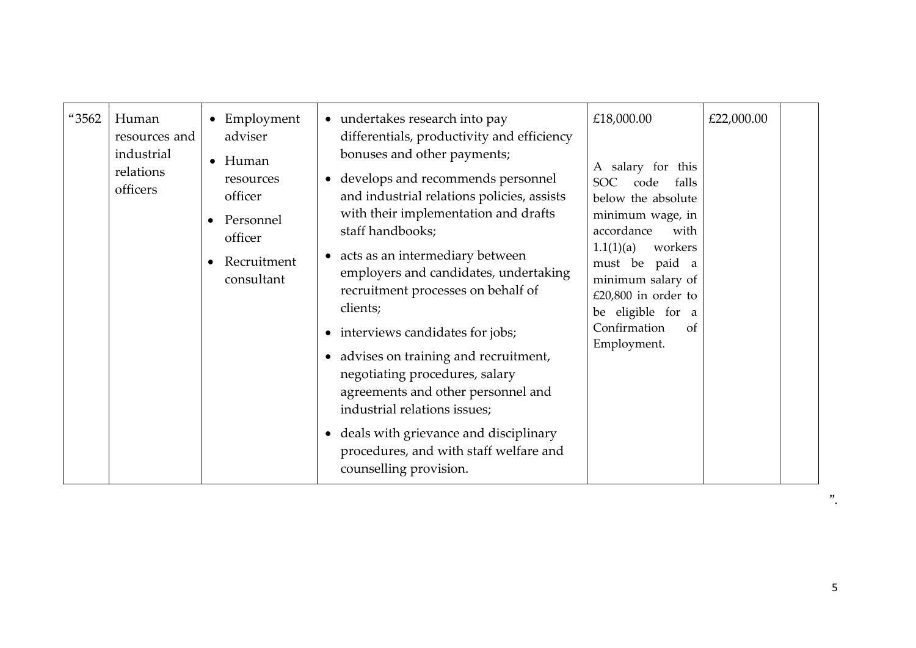| "3562 | Human<br>resources and<br>industrial<br>relations<br>officers | • Employment<br>adviser<br>$\bullet$ Human<br>resources<br>officer<br>Personnel<br>officer<br>Recruitment<br>consultant | • undertakes research into pay<br>differentials, productivity and efficiency<br>bonuses and other payments;<br>develops and recommends personnel<br>$\bullet$<br>and industrial relations policies, assists<br>with their implementation and drafts<br>staff handbooks;<br>acts as an intermediary between<br>$\bullet$<br>employers and candidates, undertaking<br>recruitment processes on behalf of<br>clients;<br>interviews candidates for jobs;<br>$\bullet$<br>advises on training and recruitment,<br>$\bullet$<br>negotiating procedures, salary<br>agreements and other personnel and<br>industrial relations issues;<br>• deals with grievance and disciplinary<br>procedures, and with staff welfare and | £18,000.00<br>A salary for this<br><b>SOC</b><br>code<br>falls<br>below the absolute<br>minimum wage, in<br>accordance<br>with<br>1.1(1)(a)<br>workers<br>must be paid a<br>minimum salary of<br>£20,800 in order to<br>be eligible for a<br>Confirmation<br>of<br>Employment. | £22,000.00 |  |
|-------|---------------------------------------------------------------|-------------------------------------------------------------------------------------------------------------------------|----------------------------------------------------------------------------------------------------------------------------------------------------------------------------------------------------------------------------------------------------------------------------------------------------------------------------------------------------------------------------------------------------------------------------------------------------------------------------------------------------------------------------------------------------------------------------------------------------------------------------------------------------------------------------------------------------------------------|--------------------------------------------------------------------------------------------------------------------------------------------------------------------------------------------------------------------------------------------------------------------------------|------------|--|
|       |                                                               |                                                                                                                         | counselling provision.                                                                                                                                                                                                                                                                                                                                                                                                                                                                                                                                                                                                                                                                                               |                                                                                                                                                                                                                                                                                |            |  |

 $"$ .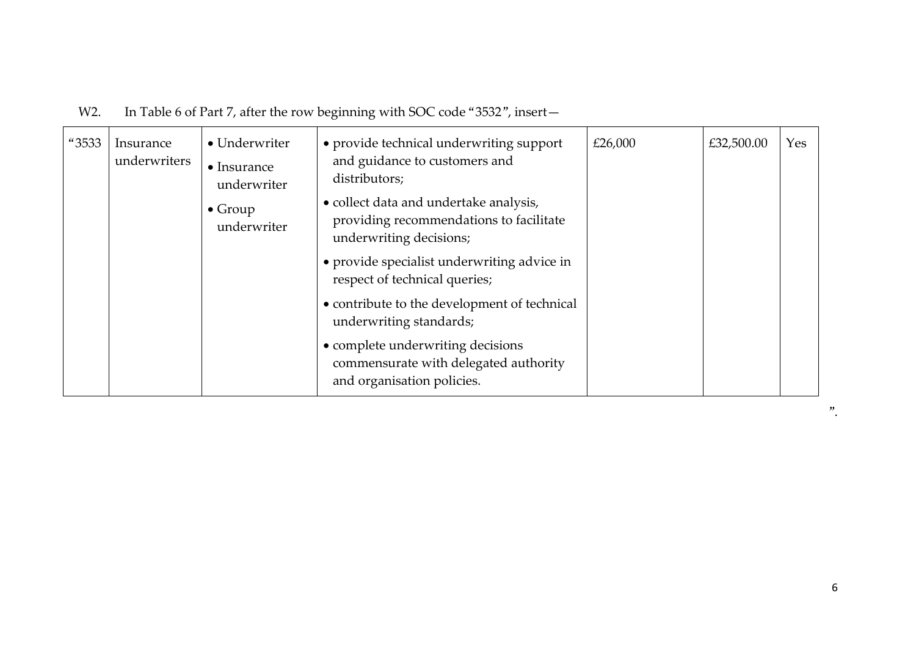# W2. In Table 6 of Part 7, after the row beginning with SOC code "3532", insert-

| "3533 | Insurance<br>underwriters | • Underwriter<br>$\bullet$ Insurance<br>underwriter | • provide technical underwriting support<br>and guidance to customers and<br>distributors;                   | £26,000 | £32,500.00 | Yes |
|-------|---------------------------|-----------------------------------------------------|--------------------------------------------------------------------------------------------------------------|---------|------------|-----|
|       |                           | $\bullet$ Group<br>underwriter                      | • collect data and undertake analysis,<br>providing recommendations to facilitate<br>underwriting decisions; |         |            |     |
|       |                           |                                                     | • provide specialist underwriting advice in<br>respect of technical queries;                                 |         |            |     |
|       |                           |                                                     | • contribute to the development of technical<br>underwriting standards;                                      |         |            |     |
|       |                           |                                                     | • complete underwriting decisions<br>commensurate with delegated authority<br>and organisation policies.     |         |            |     |